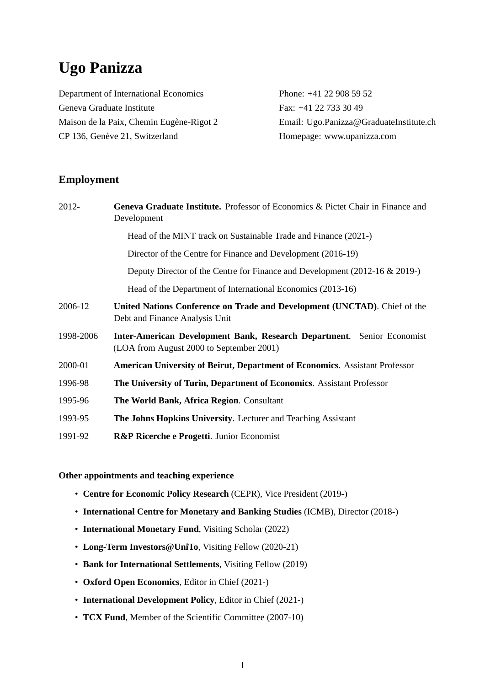# **Ugo Panizza**

Department of International Economics Phone: +41 22 908 59 52 Geneva Graduate Institute Fax: +41 22 733 30 49 CP 136, Genève 21, Switzerland Homepage: www.upanizza.com

Maison de la Paix, Chemin Eugène-Rigot 2 **Email:** Ugo.Panizza@GraduateInstitute.ch

## **Employment**

| 2012-     | <b>Geneva Graduate Institute.</b> Professor of Economics & Pictet Chair in Finance and<br>Development              |
|-----------|--------------------------------------------------------------------------------------------------------------------|
|           | Head of the MINT track on Sustainable Trade and Finance (2021-)                                                    |
|           | Director of the Centre for Finance and Development (2016-19)                                                       |
|           | Deputy Director of the Centre for Finance and Development (2012-16 & 2019-)                                        |
|           | Head of the Department of International Economics (2013-16)                                                        |
| 2006-12   | United Nations Conference on Trade and Development (UNCTAD). Chief of the<br>Debt and Finance Analysis Unit        |
| 1998-2006 | Inter-American Development Bank, Research Department. Senior Economist<br>(LOA from August 2000 to September 2001) |
| 2000-01   | <b>American University of Beirut, Department of Economics. Assistant Professor</b>                                 |
| 1996-98   | The University of Turin, Department of Economics. Assistant Professor                                              |
| 1995-96   | The World Bank, Africa Region. Consultant                                                                          |
| 1993-95   | The Johns Hopkins University. Lecturer and Teaching Assistant                                                      |
| 1991-92   | R&P Ricerche e Progetti. Junior Economist                                                                          |

#### **Other appointments and teaching experience**

- **Centre for Economic Policy Research** (CEPR), Vice President (2019-)
- **International Centre for Monetary and Banking Studies** (ICMB), Director (2018-)
- **International Monetary Fund**, Visiting Scholar (2022)
- **Long-Term Investors@UniTo**, Visiting Fellow (2020-21)
- **Bank for International Settlements**, Visiting Fellow (2019)
- **Oxford Open Economics**, Editor in Chief (2021-)
- **International Development Policy**, Editor in Chief (2021-)
- **TCX Fund**, Member of the Scientific Committee (2007-10)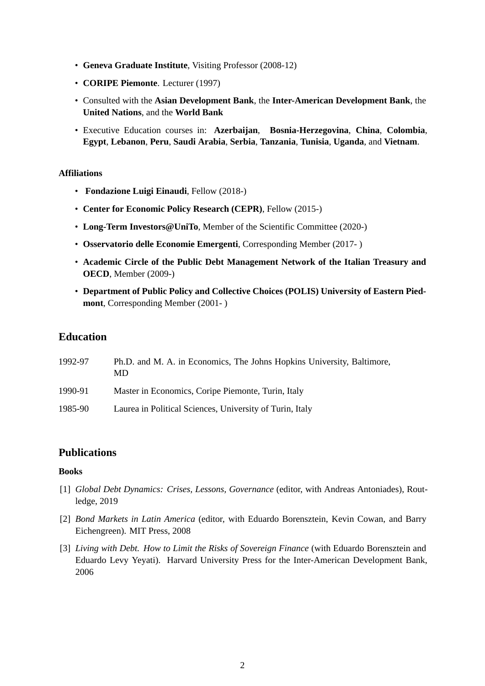- **Geneva Graduate Institute**, Visiting Professor (2008-12)
- **CORIPE Piemonte**. Lecturer (1997)
- Consulted with the **Asian Development Bank**, the **Inter-American Development Bank**, the **United Nations**, and the **World Bank**
- Executive Education courses in: **Azerbaijan**, **Bosnia-Herzegovina**, **China**, **Colombia**, **Egypt**, **Lebanon**, **Peru**, **Saudi Arabia**, **Serbia**, **Tanzania**, **Tunisia**, **Uganda**, and **Vietnam**.

#### **Affiliations**

- **Fondazione Luigi Einaudi**, Fellow (2018-)
- **Center for Economic Policy Research (CEPR)**, Fellow (2015-)
- **Long-Term Investors@UniTo**, Member of the Scientific Committee (2020-)
- **Osservatorio delle Economie Emergenti**, Corresponding Member (2017- )
- **Academic Circle of the Public Debt Management Network of the Italian Treasury and OECD**, Member (2009-)
- **Department of Public Policy and Collective Choices (POLIS) University of Eastern Piedmont**, Corresponding Member (2001- )

## **Education**

| 1992-97 | Ph.D. and M. A. in Economics, The Johns Hopkins University, Baltimore,<br>MD |
|---------|------------------------------------------------------------------------------|
| 1990-91 | Master in Economics, Coripe Piemonte, Turin, Italy                           |
| 1985-90 | Laurea in Political Sciences, University of Turin, Italy                     |

## **Publications**

#### **Books**

- [1] *Global Debt Dynamics: Crises, Lessons, Governance* (editor, with Andreas Antoniades), Routledge, 2019
- [2] *Bond Markets in Latin America* (editor, with Eduardo Borensztein, Kevin Cowan, and Barry Eichengreen). MIT Press, 2008
- [3] *Living with Debt. How to Limit the Risks of Sovereign Finance* (with Eduardo Borensztein and Eduardo Levy Yeyati). Harvard University Press for the Inter-American Development Bank, 2006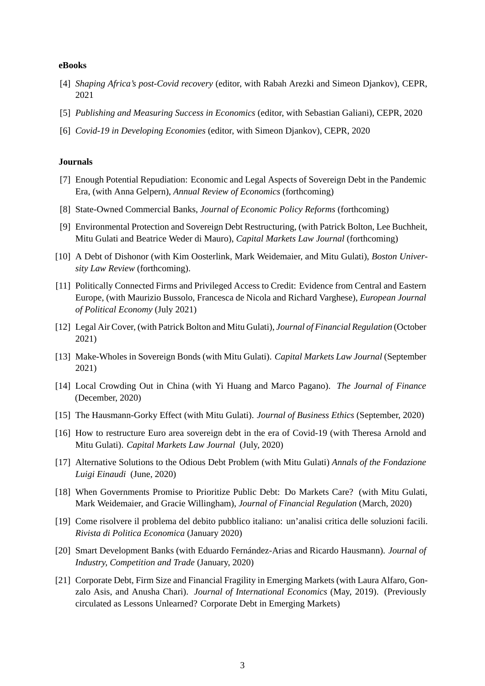#### **eBooks**

- [4] *Shaping Africa's post-Covid recovery* (editor, with Rabah Arezki and Simeon Djankov), CEPR, 2021
- [5] *Publishing and Measuring Success in Economics* (editor, with Sebastian Galiani), CEPR, 2020
- [6] *Covid-19 in Developing Economies* (editor, with Simeon Djankov), CEPR, 2020

#### **Journals**

- [7] Enough Potential Repudiation: Economic and Legal Aspects of Sovereign Debt in the Pandemic Era, (with Anna Gelpern), *Annual Review of Economics* (forthcoming)
- [8] State-Owned Commercial Banks, *Journal of Economic Policy Reforms* (forthcoming)
- [9] Environmental Protection and Sovereign Debt Restructuring, (with Patrick Bolton, Lee Buchheit, Mitu Gulati and Beatrice Weder di Mauro), *Capital Markets Law Journal* (forthcoming)
- [10] A Debt of Dishonor (with Kim Oosterlink, Mark Weidemaier, and Mitu Gulati), *Boston University Law Review* (forthcoming).
- [11] Politically Connected Firms and Privileged Access to Credit: Evidence from Central and Eastern Europe, (with Maurizio Bussolo, Francesca de Nicola and Richard Varghese), *European Journal of Political Economy* (July 2021)
- [12] Legal Air Cover, (with Patrick Bolton and Mitu Gulati), *Journal of Financial Regulation* (October 2021)
- [13] Make-Wholes in Sovereign Bonds (with Mitu Gulati). *Capital Markets Law Journal* (September 2021)
- [14] Local Crowding Out in China (with Yi Huang and Marco Pagano). *The Journal of Finance* (December, 2020)
- [15] The Hausmann-Gorky Effect (with Mitu Gulati). *Journal of Business Ethics* (September, 2020)
- [16] How to restructure Euro area sovereign debt in the era of Covid-19 (with Theresa Arnold and Mitu Gulati). *Capital Markets Law Journal* (July, 2020)
- [17] Alternative Solutions to the Odious Debt Problem (with Mitu Gulati) *Annals of the Fondazione Luigi Einaudi* (June, 2020)
- [18] When Governments Promise to Prioritize Public Debt: Do Markets Care? (with Mitu Gulati, Mark Weidemaier, and Gracie Willingham), *Journal of Financial Regulation* (March, 2020)
- [19] Come risolvere il problema del debito pubblico italiano: un'analisi critica delle soluzioni facili. *Rivista di Politica Economica* (January 2020)
- [20] Smart Development Banks (with Eduardo Fernández-Arias and Ricardo Hausmann). *Journal of Industry, Competition and Trade* (January, 2020)
- [21] Corporate Debt, Firm Size and Financial Fragility in Emerging Markets (with Laura Alfaro, Gonzalo Asis, and Anusha Chari). *Journal of International Economics* (May, 2019). (Previously circulated as Lessons Unlearned? Corporate Debt in Emerging Markets)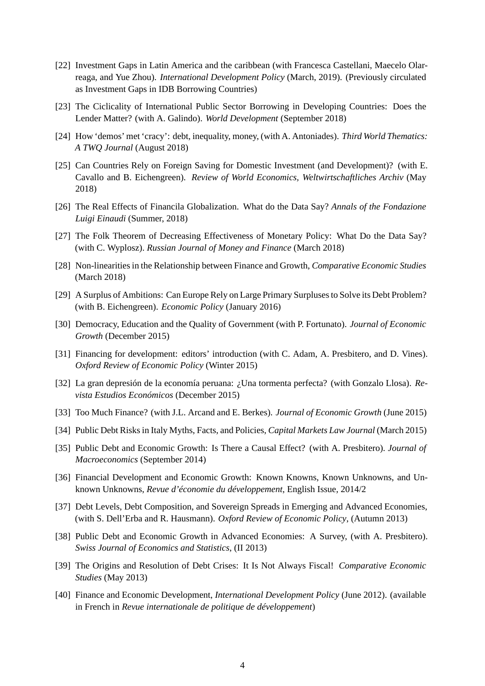- [22] Investment Gaps in Latin America and the caribbean (with Francesca Castellani, Maecelo Olarreaga, and Yue Zhou). *International Development Policy* (March, 2019). (Previously circulated as Investment Gaps in IDB Borrowing Countries)
- [23] The Ciclicality of International Public Sector Borrowing in Developing Countries: Does the Lender Matter? (with A. Galindo). *World Development* (September 2018)
- [24] How 'demos' met 'cracy': debt, inequality, money, (with A. Antoniades). *Third World Thematics: A TWQ Journal* (August 2018)
- [25] Can Countries Rely on Foreign Saving for Domestic Investment (and Development)? (with E. Cavallo and B. Eichengreen). *Review of World Economics, Weltwirtschaftliches Archiv* (May 2018)
- [26] The Real Effects of Financila Globalization. What do the Data Say? *Annals of the Fondazione Luigi Einaudi* (Summer, 2018)
- [27] The Folk Theorem of Decreasing Effectiveness of Monetary Policy: What Do the Data Say? (with C. Wyplosz). *Russian Journal of Money and Finance* (March 2018)
- [28] Non-linearities in the Relationship between Finance and Growth, *Comparative Economic Studies* (March 2018)
- [29] A Surplus of Ambitions: Can Europe Rely on Large Primary Surpluses to Solve its Debt Problem? (with B. Eichengreen). *Economic Policy* (January 2016)
- [30] Democracy, Education and the Quality of Government (with P. Fortunato). *Journal of Economic Growth* (December 2015)
- [31] Financing for development: editors' introduction (with C. Adam, A. Presbitero, and D. Vines). *Oxford Review of Economic Policy* (Winter 2015)
- [32] La gran depresión de la economía peruana: ¿Una tormenta perfecta? (with Gonzalo Llosa). *Revista Estudios Económicos* (December 2015)
- [33] Too Much Finance? (with J.L. Arcand and E. Berkes). *Journal of Economic Growth* (June 2015)
- [34] Public Debt Risks in Italy Myths, Facts, and Policies, *Capital Markets Law Journal* (March 2015)
- [35] Public Debt and Economic Growth: Is There a Causal Effect? (with A. Presbitero). *Journal of Macroeconomics* (September 2014)
- [36] Financial Development and Economic Growth: Known Knowns, Known Unknowns, and Unknown Unknowns, *Revue d'économie du développement*, English Issue, 2014/2
- [37] Debt Levels, Debt Composition, and Sovereign Spreads in Emerging and Advanced Economies, (with S. Dell'Erba and R. Hausmann). *Oxford Review of Economic Policy*, (Autumn 2013)
- [38] Public Debt and Economic Growth in Advanced Economies: A Survey, (with A. Presbitero). *Swiss Journal of Economics and Statistics*, (II 2013)
- [39] The Origins and Resolution of Debt Crises: It Is Not Always Fiscal! *Comparative Economic Studies* (May 2013)
- [40] Finance and Economic Development, *International Development Policy* (June 2012). (available in French in *Revue internationale de politique de développement*)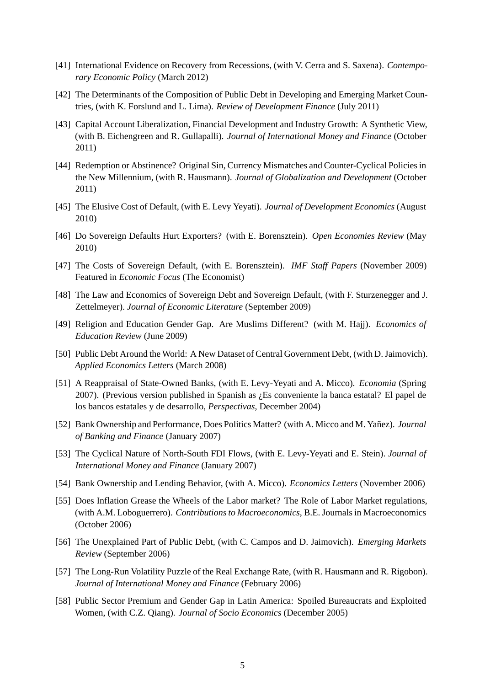- [41] International Evidence on Recovery from Recessions, (with V. Cerra and S. Saxena). *Contemporary Economic Policy* (March 2012)
- [42] The Determinants of the Composition of Public Debt in Developing and Emerging Market Countries, (with K. Forslund and L. Lima). *Review of Development Finance* (July 2011)
- [43] Capital Account Liberalization, Financial Development and Industry Growth: A Synthetic View, (with B. Eichengreen and R. Gullapalli). *Journal of International Money and Finance* (October 2011)
- [44] Redemption or Abstinence? Original Sin, Currency Mismatches and Counter-Cyclical Policies in the New Millennium, (with R. Hausmann). *Journal of Globalization and Development* (October 2011)
- [45] The Elusive Cost of Default, (with E. Levy Yeyati). *Journal of Development Economics* (August 2010)
- [46] Do Sovereign Defaults Hurt Exporters? (with E. Borensztein). *Open Economies Review* (May 2010)
- [47] The Costs of Sovereign Default, (with E. Borensztein). *IMF Staff Papers* (November 2009) Featured in *Economic Focus* (The Economist)
- [48] The Law and Economics of Sovereign Debt and Sovereign Default, (with F. Sturzenegger and J. Zettelmeyer). *Journal of Economic Literature* (September 2009)
- [49] Religion and Education Gender Gap. Are Muslims Different? (with M. Hajj). *Economics of Education Review* (June 2009)
- [50] Public Debt Around the World: A New Dataset of Central Government Debt, (with D. Jaimovich). *Applied Economics Letters* (March 2008)
- [51] A Reappraisal of State-Owned Banks, (with E. Levy-Yeyati and A. Micco). *Economia* (Spring 2007). (Previous version published in Spanish as ¿Es conveniente la banca estatal? El papel de los bancos estatales y de desarrollo, *Perspectivas*, December 2004)
- [52] Bank Ownership and Performance, Does Politics Matter? (with A. Micco and M. Yañez). *Journal of Banking and Finance* (January 2007)
- [53] The Cyclical Nature of North-South FDI Flows, (with E. Levy-Yeyati and E. Stein). *Journal of International Money and Finance* (January 2007)
- [54] Bank Ownership and Lending Behavior, (with A. Micco). *Economics Letters* (November 2006)
- [55] Does Inflation Grease the Wheels of the Labor market? The Role of Labor Market regulations, (with A.M. Loboguerrero). *Contributions to Macroeconomics*, B.E. Journals in Macroeconomics (October 2006)
- [56] The Unexplained Part of Public Debt, (with C. Campos and D. Jaimovich). *Emerging Markets Review* (September 2006)
- [57] The Long-Run Volatility Puzzle of the Real Exchange Rate, (with R. Hausmann and R. Rigobon). *Journal of International Money and Finance* (February 2006)
- [58] Public Sector Premium and Gender Gap in Latin America: Spoiled Bureaucrats and Exploited Women, (with C.Z. Qiang). *Journal of Socio Economics* (December 2005)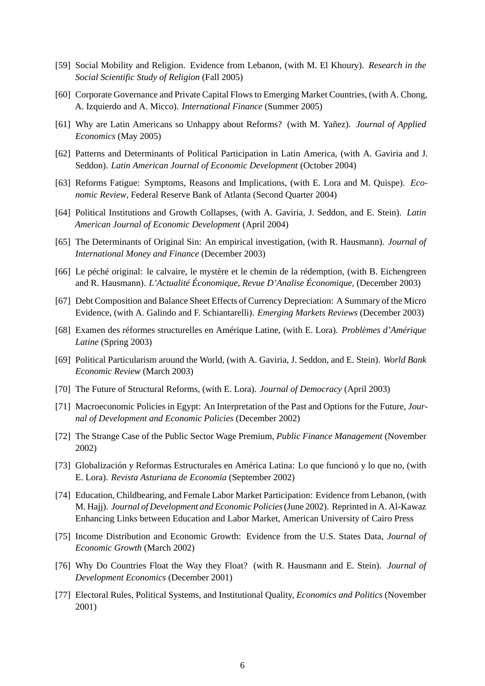- [59] Social Mobility and Religion. Evidence from Lebanon, (with M. El Khoury). *Research in the Social Scientific Study of Religion* (Fall 2005)
- [60] Corporate Governance and Private Capital Flows to Emerging Market Countries, (with A. Chong, A. Izquierdo and A. Micco). *International Finance* (Summer 2005)
- [61] Why are Latin Americans so Unhappy about Reforms? (with M. Yañez). *Journal of Applied Economics* (May 2005)
- [62] Patterns and Determinants of Political Participation in Latin America, (with A. Gaviria and J. Seddon). *Latin American Journal of Economic Development* (October 2004)
- [63] Reforms Fatigue: Symptoms, Reasons and Implications, (with E. Lora and M. Quispe). *Economic Review*, Federal Reserve Bank of Atlanta (Second Quarter 2004)
- [64] Political Institutions and Growth Collapses, (with A. Gaviria, J. Seddon, and E. Stein). *Latin American Journal of Economic Development* (April 2004)
- [65] The Determinants of Original Sin: An empirical investigation, (with R. Hausmann). *Journal of International Money and Finance* (December 2003)
- [66] Le péché original: le calvaire, le mystère et le chemin de la rédemption, (with B. Eichengreen and R. Hausmann). *L'Actualité Économique, Revue D'Analise Économique*, (December 2003)
- [67] Debt Composition and Balance Sheet Effects of Currency Depreciation: A Summary of the Micro Evidence, (with A. Galindo and F. Schiantarelli). *Emerging Markets Reviews* (December 2003)
- [68] Examen des réformes structurelles en Amérique Latine, (with E. Lora). *Problèmes d'Amérique Latine* (Spring 2003)
- [69] Political Particularism around the World, (with A. Gaviria, J. Seddon, and E. Stein). *World Bank Economic Review* (March 2003)
- [70] The Future of Structural Reforms, (with E. Lora). *Journal of Democracy* (April 2003)
- [71] Macroeconomic Policies in Egypt: An Interpretation of the Past and Options for the Future, *Journal of Development and Economic Policies* (December 2002)
- [72] The Strange Case of the Public Sector Wage Premium, *Public Finance Management* (November 2002)
- [73] Globalización y Reformas Estructurales en América Latina: Lo que funcionó y lo que no, (with E. Lora). *Revista Asturiana de Economia* (September 2002)
- [74] Education, Childbearing, and Female Labor Market Participation: Evidence from Lebanon, (with M. Hajj). *Journal of Development and Economic Policies*(June 2002). Reprinted in A. Al-Kawaz Enhancing Links between Education and Labor Market, American University of Cairo Press
- [75] Income Distribution and Economic Growth: Evidence from the U.S. States Data, *Journal of Economic Growth* (March 2002)
- [76] Why Do Countries Float the Way they Float? (with R. Hausmann and E. Stein). *Journal of Development Economics* (December 2001)
- [77] Electoral Rules, Political Systems, and Institutional Quality, *Economics and Politics* (November 2001)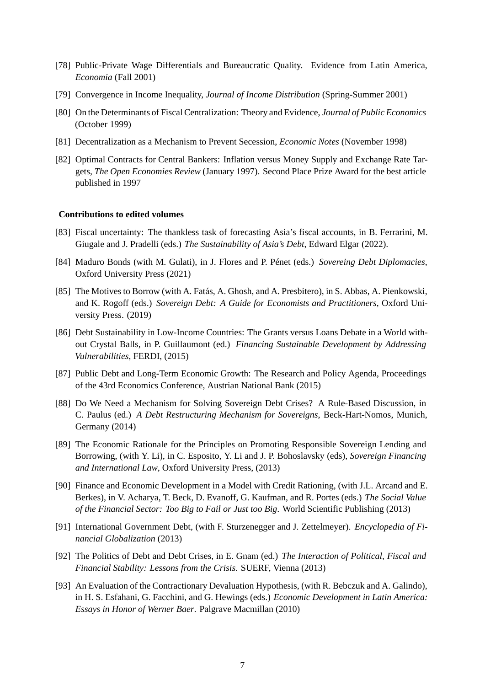- [78] Public-Private Wage Differentials and Bureaucratic Quality. Evidence from Latin America, *Economia* (Fall 2001)
- [79] Convergence in Income Inequality, *Journal of Income Distribution* (Spring-Summer 2001)
- [80] On the Determinants of Fiscal Centralization: Theory and Evidence, *Journal of Public Economics* (October 1999)
- [81] Decentralization as a Mechanism to Prevent Secession, *Economic Notes* (November 1998)
- [82] Optimal Contracts for Central Bankers: Inflation versus Money Supply and Exchange Rate Targets, *The Open Economies Review* (January 1997). Second Place Prize Award for the best article published in 1997

#### **Contributions to edited volumes**

- [83] Fiscal uncertainty: The thankless task of forecasting Asia's fiscal accounts, in B. Ferrarini, M. Giugale and J. Pradelli (eds.) *The Sustainability of Asia's Debt*, Edward Elgar (2022).
- [84] Maduro Bonds (with M. Gulati), in J. Flores and P. Pénet (eds.) *Sovereing Debt Diplomacies*, Oxford University Press (2021)
- [85] The Motives to Borrow (with A. Fatás, A. Ghosh, and A. Presbitero), in S. Abbas, A. Pienkowski, and K. Rogoff (eds.) *Sovereign Debt: A Guide for Economists and Practitioners*, Oxford University Press. (2019)
- [86] Debt Sustainability in Low-Income Countries: The Grants versus Loans Debate in a World without Crystal Balls, in P. Guillaumont (ed.) *Financing Sustainable Development by Addressing Vulnerabilities*, FERDI, (2015)
- [87] Public Debt and Long-Term Economic Growth: The Research and Policy Agenda, Proceedings of the 43rd Economics Conference, Austrian National Bank (2015)
- [88] Do We Need a Mechanism for Solving Sovereign Debt Crises? A Rule-Based Discussion, in C. Paulus (ed.) *A Debt Restructuring Mechanism for Sovereigns*, Beck-Hart-Nomos, Munich, Germany (2014)
- [89] The Economic Rationale for the Principles on Promoting Responsible Sovereign Lending and Borrowing, (with Y. Li), in C. Esposito, Y. Li and J. P. Bohoslavsky (eds), *Sovereign Financing and International Law*, Oxford University Press, (2013)
- [90] Finance and Economic Development in a Model with Credit Rationing, (with J.L. Arcand and E. Berkes), in V. Acharya, T. Beck, D. Evanoff, G. Kaufman, and R. Portes (eds.) *The Social Value of the Financial Sector: Too Big to Fail or Just too Big*. World Scientific Publishing (2013)
- [91] International Government Debt, (with F. Sturzenegger and J. Zettelmeyer). *Encyclopedia of Financial Globalization* (2013)
- [92] The Politics of Debt and Debt Crises, in E. Gnam (ed.) *The Interaction of Political, Fiscal and Financial Stability: Lessons from the Crisis*. SUERF, Vienna (2013)
- [93] An Evaluation of the Contractionary Devaluation Hypothesis, (with R. Bebczuk and A. Galindo), in H. S. Esfahani, G. Facchini, and G. Hewings (eds.) *Economic Development in Latin America: Essays in Honor of Werner Baer*. Palgrave Macmillan (2010)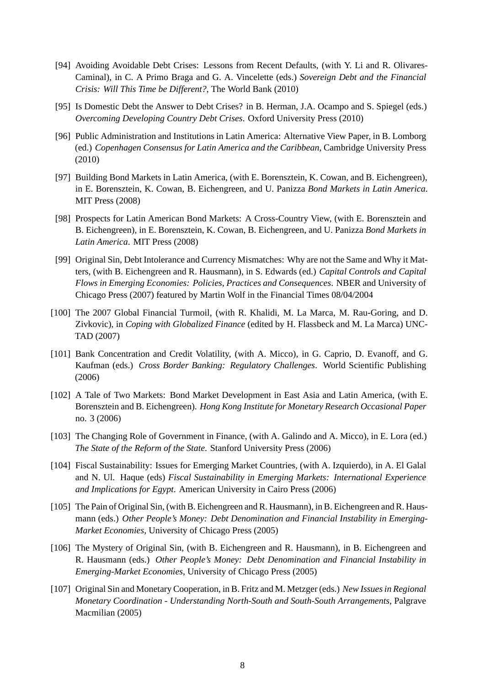- [94] Avoiding Avoidable Debt Crises: Lessons from Recent Defaults, (with Y. Li and R. Olivares-Caminal), in C. A Primo Braga and G. A. Vincelette (eds.) *Sovereign Debt and the Financial Crisis: Will This Time be Different?*, The World Bank (2010)
- [95] Is Domestic Debt the Answer to Debt Crises? in B. Herman, J.A. Ocampo and S. Spiegel (eds.) *Overcoming Developing Country Debt Crises*. Oxford University Press (2010)
- [96] Public Administration and Institutions in Latin America: Alternative View Paper, in B. Lomborg (ed.) *Copenhagen Consensus for Latin America and the Caribbean*, Cambridge University Press (2010)
- [97] Building Bond Markets in Latin America, (with E. Borensztein, K. Cowan, and B. Eichengreen), in E. Borensztein, K. Cowan, B. Eichengreen, and U. Panizza *Bond Markets in Latin America*. MIT Press (2008)
- [98] Prospects for Latin American Bond Markets: A Cross-Country View, (with E. Borensztein and B. Eichengreen), in E. Borensztein, K. Cowan, B. Eichengreen, and U. Panizza *Bond Markets in Latin America*. MIT Press (2008)
- [99] Original Sin, Debt Intolerance and Currency Mismatches: Why are not the Same and Why it Matters, (with B. Eichengreen and R. Hausmann), in S. Edwards (ed.) *Capital Controls and Capital Flows in Emerging Economies: Policies, Practices and Consequences*. NBER and University of Chicago Press (2007) featured by Martin Wolf in the Financial Times 08/04/2004
- [100] The 2007 Global Financial Turmoil, (with R. Khalidi, M. La Marca, M. Rau-Goring, and D. Zivkovic), in *Coping with Globalized Finance* (edited by H. Flassbeck and M. La Marca) UNC-TAD (2007)
- [101] Bank Concentration and Credit Volatility, (with A. Micco), in G. Caprio, D. Evanoff, and G. Kaufman (eds.) *Cross Border Banking: Regulatory Challenges*. World Scientific Publishing (2006)
- [102] A Tale of Two Markets: Bond Market Development in East Asia and Latin America, (with E. Borensztein and B. Eichengreen). *Hong Kong Institute for Monetary Research Occasional Paper* no. 3 (2006)
- [103] The Changing Role of Government in Finance, (with A. Galindo and A. Micco), in E. Lora (ed.) *The State of the Reform of the State*. Stanford University Press (2006)
- [104] Fiscal Sustainability: Issues for Emerging Market Countries, (with A. Izquierdo), in A. El Galal and N. Ul. Haque (eds) *Fiscal Sustainability in Emerging Markets: International Experience and Implications for Egypt*. American University in Cairo Press (2006)
- [105] The Pain of Original Sin, (with B. Eichengreen and R. Hausmann), in B. Eichengreen and R. Hausmann (eds.) *Other People's Money: Debt Denomination and Financial Instability in Emerging-Market Economies*, University of Chicago Press (2005)
- [106] The Mystery of Original Sin, (with B. Eichengreen and R. Hausmann), in B. Eichengreen and R. Hausmann (eds.) *Other People's Money: Debt Denomination and Financial Instability in Emerging-Market Economies*, University of Chicago Press (2005)
- [107] Original Sin and Monetary Cooperation, in B. Fritz and M. Metzger (eds.) *New Issues in Regional Monetary Coordination - Understanding North-South and South-South Arrangements*, Palgrave Macmilian (2005)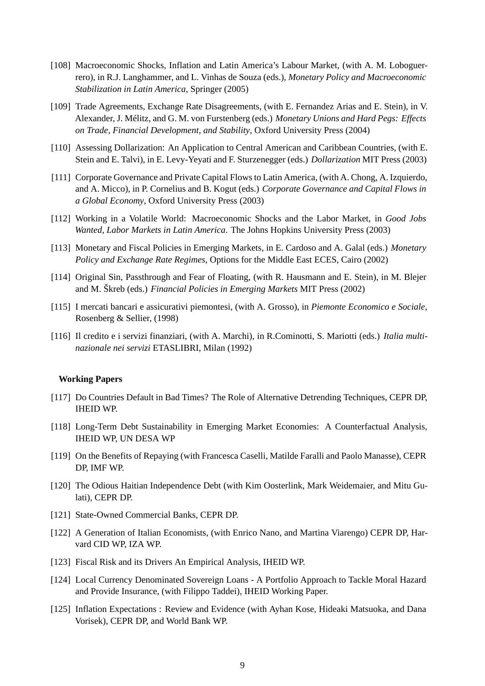- [108] Macroeconomic Shocks, Inflation and Latin America's Labour Market, (with A. M. Loboguerrero), in R.J. Langhammer, and L. Vinhas de Souza (eds.), *Monetary Policy and Macroeconomic Stabilization in Latin America*, Springer (2005)
- [109] Trade Agreements, Exchange Rate Disagreements, (with E. Fernandez Arias and E. Stein), in V. Alexander, J. Mélitz, and G. M. von Furstenberg (eds.) *Monetary Unions and Hard Pegs: Effects on Trade, Financial Development, and Stability*, Oxford University Press (2004)
- [110] Assessing Dollarization: An Application to Central American and Caribbean Countries, (with E. Stein and E. Talvi), in E. Levy-Yeyati and F. Sturzenegger (eds.) *Dollarization* MIT Press (2003)
- [111] Corporate Governance and Private Capital Flows to Latin America, (with A. Chong, A. Izquierdo, and A. Micco), in P. Cornelius and B. Kogut (eds.) *Corporate Governance and Capital Flows in a Global Economy*, Oxford University Press (2003)
- [112] Working in a Volatile World: Macroeconomic Shocks and the Labor Market, in *Good Jobs Wanted, Labor Markets in Latin America*. The Johns Hopkins University Press (2003)
- [113] Monetary and Fiscal Policies in Emerging Markets, in E. Cardoso and A. Galal (eds.) *Monetary Policy and Exchange Rate Regimes*, Options for the Middle East ECES, Cairo (2002)
- [114] Original Sin, Passthrough and Fear of Floating, (with R. Hausmann and E. Stein), in M. Blejer and M. Škreb (eds.) *Financial Policies in Emerging Markets* MIT Press (2002)
- [115] I mercati bancari e assicurativi piemontesi, (with A. Grosso), in *Piemonte Economico e Sociale*, Rosenberg & Sellier, (1998)
- [116] Il credito e i servizi finanziari, (with A. Marchi), in R.Cominotti, S. Mariotti (eds.) *Italia multinazionale nei servizi* ETASLIBRI, Milan (1992)

#### **Working Papers**

- [117] Do Countries Default in Bad Times? The Role of Alternative Detrending Techniques, CEPR DP, IHEID WP.
- [118] Long-Term Debt Sustainability in Emerging Market Economies: A Counterfactual Analysis, IHEID WP, UN DESA WP
- [119] On the Benefits of Repaying (with Francesca Caselli, Matilde Faralli and Paolo Manasse), CEPR DP, IMF WP.
- [120] The Odious Haitian Independence Debt (with Kim Oosterlink, Mark Weidemaier, and Mitu Gulati), CEPR DP.
- [121] State-Owned Commercial Banks, CEPR DP.
- [122] A Generation of Italian Economists, (with Enrico Nano, and Martina Viarengo) CEPR DP, Harvard CID WP, IZA WP.
- [123] Fiscal Risk and its Drivers An Empirical Analysis, IHEID WP.
- [124] Local Currency Denominated Sovereign Loans A Portfolio Approach to Tackle Moral Hazard and Provide Insurance, (with Filippo Taddei), IHEID Working Paper.
- [125] Inflation Expectations : Review and Evidence (with Ayhan Kose, Hideaki Matsuoka, and Dana Vorisek), CEPR DP, and World Bank WP.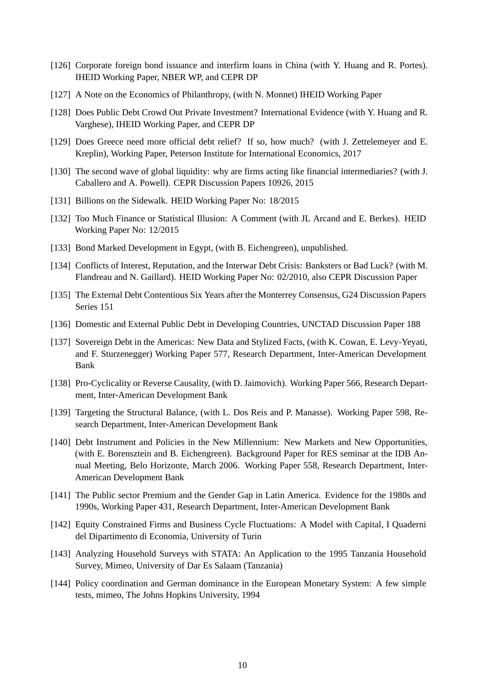- [126] Corporate foreign bond issuance and interfirm loans in China (with Y. Huang and R. Portes). IHEID Working Paper, NBER WP, and CEPR DP
- [127] A Note on the Economics of Philanthropy, (with N. Monnet) IHEID Working Paper
- [128] Does Public Debt Crowd Out Private Investment? International Evidence (with Y. Huang and R. Varghese), IHEID Working Paper, and CEPR DP
- [129] Does Greece need more official debt relief? If so, how much? (with J. Zettelemeyer and E. Kreplin), Working Paper, Peterson Institute for International Economics, 2017
- [130] The second wave of global liquidity: why are firms acting like financial intermediaries? (with J. Caballero and A. Powell). CEPR Discussion Papers 10926, 2015
- [131] Billions on the Sidewalk. HEID Working Paper No: 18/2015
- [132] Too Much Finance or Statistical Illusion: A Comment (with JL Arcand and E. Berkes). HEID Working Paper No: 12/2015
- [133] Bond Marked Development in Egypt, (with B. Eichengreen), unpublished.
- [134] Conflicts of Interest, Reputation, and the Interwar Debt Crisis: Banksters or Bad Luck? (with M. Flandreau and N. Gaillard). HEID Working Paper No: 02/2010, also CEPR Discussion Paper
- [135] The External Debt Contentious Six Years after the Monterrey Consensus, G24 Discussion Papers Series 151
- [136] Domestic and External Public Debt in Developing Countries, UNCTAD Discussion Paper 188
- [137] Sovereign Debt in the Americas: New Data and Stylized Facts, (with K. Cowan, E. Levy-Yeyati, and F. Sturzenegger) Working Paper 577, Research Department, Inter-American Development Bank
- [138] Pro-Cyclicality or Reverse Causality, (with D. Jaimovich). Working Paper 566, Research Department, Inter-American Development Bank
- [139] Targeting the Structural Balance, (with L. Dos Reis and P. Manasse). Working Paper 598, Research Department, Inter-American Development Bank
- [140] Debt Instrument and Policies in the New Millennium: New Markets and New Opportunities, (with E. Borensztein and B. Eichengreen). Background Paper for RES seminar at the IDB Annual Meeting, Belo Horizonte, March 2006. Working Paper 558, Research Department, Inter-American Development Bank
- [141] The Public sector Premium and the Gender Gap in Latin America. Evidence for the 1980s and 1990s, Working Paper 431, Research Department, Inter-American Development Bank
- [142] Equity Constrained Firms and Business Cycle Fluctuations: A Model with Capital, I Quaderni del Dipartimento di Economia, University of Turin
- [143] Analyzing Household Surveys with STATA: An Application to the 1995 Tanzania Household Survey, Mimeo, University of Dar Es Salaam (Tanzania)
- [144] Policy coordination and German dominance in the European Monetary System: A few simple tests, mimeo, The Johns Hopkins University, 1994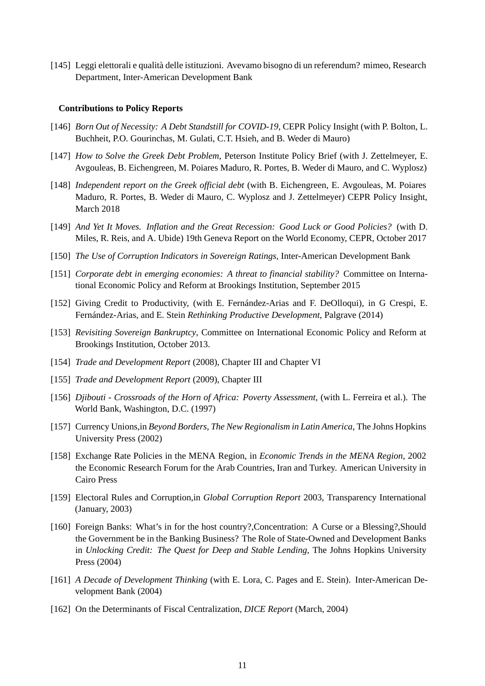[145] Leggi elettorali e qualità delle istituzioni. Avevamo bisogno di un referendum? mimeo, Research Department, Inter-American Development Bank

#### **Contributions to Policy Reports**

- [146] *Born Out of Necessity: A Debt Standstill for COVID-19*, CEPR Policy Insight (with P. Bolton, L. Buchheit, P.O. Gourinchas, M. Gulati, C.T. Hsieh, and B. Weder di Mauro)
- [147] *How to Solve the Greek Debt Problem*, Peterson Institute Policy Brief (with J. Zettelmeyer, E. Avgouleas, B. Eichengreen, M. Poiares Maduro, R. Portes, B. Weder di Mauro, and C. Wyplosz)
- [148] *Independent report on the Greek official debt* (with B. Eichengreen, E. Avgouleas, M. Poiares Maduro, R. Portes, B. Weder di Mauro, C. Wyplosz and J. Zettelmeyer) CEPR Policy Insight, March 2018
- [149] *And Yet It Moves. Inflation and the Great Recession: Good Luck or Good Policies?* (with D. Miles, R. Reis, and A. Ubide) 19th Geneva Report on the World Economy, CEPR, October 2017
- [150] *The Use of Corruption Indicators in Sovereign Ratings*, Inter-American Development Bank
- [151] *Corporate debt in emerging economies: A threat to financial stability?* Committee on International Economic Policy and Reform at Brookings Institution, September 2015
- [152] Giving Credit to Productivity, (with E. Fernández-Arias and F. DeOlloqui), in G Crespi, E. Fernández-Arias, and E. Stein *Rethinking Productive Development*, Palgrave (2014)
- [153] *Revisiting Sovereign Bankruptcy*, Committee on International Economic Policy and Reform at Brookings Institution, October 2013.
- [154] *Trade and Development Report* (2008), Chapter III and Chapter VI
- [155] *Trade and Development Report* (2009), Chapter III
- [156] *Djibouti Crossroads of the Horn of Africa: Poverty Assessment*, (with L. Ferreira et al.). The World Bank, Washington, D.C. (1997)
- [157] Currency Unions,in *Beyond Borders, The New Regionalism in Latin America*, The Johns Hopkins University Press (2002)
- [158] Exchange Rate Policies in the MENA Region, in *Economic Trends in the MENA Region*, 2002 the Economic Research Forum for the Arab Countries, Iran and Turkey. American University in Cairo Press
- [159] Electoral Rules and Corruption,in *Global Corruption Report* 2003, Transparency International (January, 2003)
- [160] Foreign Banks: What's in for the host country?,Concentration: A Curse or a Blessing?,Should the Government be in the Banking Business? The Role of State-Owned and Development Banks in *Unlocking Credit: The Quest for Deep and Stable Lending*, The Johns Hopkins University Press (2004)
- [161] *A Decade of Development Thinking* (with E. Lora, C. Pages and E. Stein). Inter-American Development Bank (2004)
- [162] On the Determinants of Fiscal Centralization, *DICE Report* (March, 2004)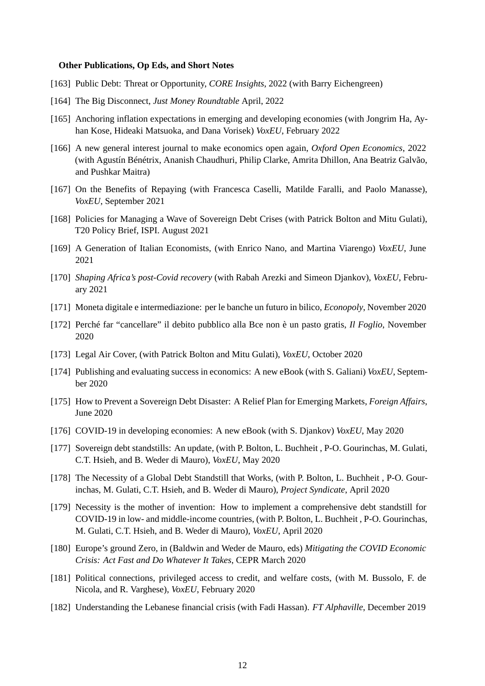#### **Other Publications, Op Eds, and Short Notes**

- [163] Public Debt: Threat or Opportunity, *CORE Insights*, 2022 (with Barry Eichengreen)
- [164] The Big Disconnect, *Just Money Roundtable* April, 2022
- [165] Anchoring inflation expectations in emerging and developing economies (with Jongrim Ha, Ayhan Kose, Hideaki Matsuoka, and Dana Vorisek) *VoxEU*, February 2022
- [166] A new general interest journal to make economics open again, *Oxford Open Economics*, 2022 (with Agustín Bénétrix, Ananish Chaudhuri, Philip Clarke, Amrita Dhillon, Ana Beatriz Galvão, and Pushkar Maitra)
- [167] On the Benefits of Repaying (with Francesca Caselli, Matilde Faralli, and Paolo Manasse), *VoxEU*, September 2021
- [168] Policies for Managing a Wave of Sovereign Debt Crises (with Patrick Bolton and Mitu Gulati), T20 Policy Brief, ISPI. August 2021
- [169] A Generation of Italian Economists, (with Enrico Nano, and Martina Viarengo) *VoxEU*, June 2021
- [170] *Shaping Africa's post-Covid recovery* (with Rabah Arezki and Simeon Djankov), *VoxEU*, February 2021
- [171] Moneta digitale e intermediazione: per le banche un futuro in bilico, *Econopoly*, November 2020
- [172] Perché far "cancellare" il debito pubblico alla Bce non è un pasto gratis, *Il Foglio*, November 2020
- [173] Legal Air Cover, (with Patrick Bolton and Mitu Gulati), *VoxEU*, October 2020
- [174] Publishing and evaluating success in economics: A new eBook (with S. Galiani) *VoxEU*, September 2020
- [175] How to Prevent a Sovereign Debt Disaster: A Relief Plan for Emerging Markets, *Foreign Affairs*, June 2020
- [176] COVID-19 in developing economies: A new eBook (with S. Djankov) *VoxEU*, May 2020
- [177] Sovereign debt standstills: An update, (with P. Bolton, L. Buchheit , P-O. Gourinchas, M. Gulati, C.T. Hsieh, and B. Weder di Mauro), *VoxEU*, May 2020
- [178] The Necessity of a Global Debt Standstill that Works, (with P. Bolton, L. Buchheit, P-O. Gourinchas, M. Gulati, C.T. Hsieh, and B. Weder di Mauro), *Project Syndicate*, April 2020
- [179] Necessity is the mother of invention: How to implement a comprehensive debt standstill for COVID-19 in low- and middle-income countries, (with P. Bolton, L. Buchheit , P-O. Gourinchas, M. Gulati, C.T. Hsieh, and B. Weder di Mauro), *VoxEU*, April 2020
- [180] Europe's ground Zero, in (Baldwin and Weder de Mauro, eds) *Mitigating the COVID Economic Crisis: Act Fast and Do Whatever It Takes*, CEPR March 2020
- [181] Political connections, privileged access to credit, and welfare costs, (with M. Bussolo, F. de Nicola, and R. Varghese), *VoxEU*, February 2020
- [182] Understanding the Lebanese financial crisis (with Fadi Hassan). *FT Alphaville*, December 2019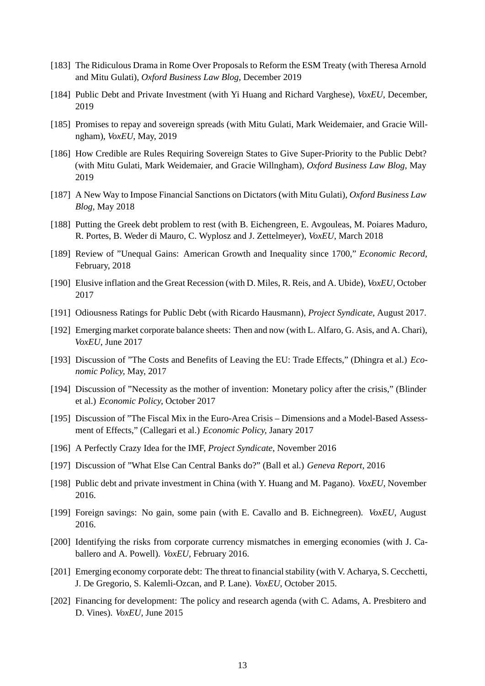- [183] The Ridiculous Drama in Rome Over Proposals to Reform the ESM Treaty (with Theresa Arnold and Mitu Gulati), *Oxford Business Law Blog*, December 2019
- [184] Public Debt and Private Investment (with Yi Huang and Richard Varghese), *VoxEU*, December, 2019
- [185] Promises to repay and sovereign spreads (with Mitu Gulati, Mark Weidemaier, and Gracie Willngham), *VoxEU*, May, 2019
- [186] How Credible are Rules Requiring Sovereign States to Give Super-Priority to the Public Debt? (with Mitu Gulati, Mark Weidemaier, and Gracie Willngham), *Oxford Business Law Blog*, May 2019
- [187] A New Way to Impose Financial Sanctions on Dictators (with Mitu Gulati), *Oxford Business Law Blog*, May 2018
- [188] Putting the Greek debt problem to rest (with B. Eichengreen, E. Avgouleas, M. Poiares Maduro, R. Portes, B. Weder di Mauro, C. Wyplosz and J. Zettelmeyer), *VoxEU*, March 2018
- [189] Review of "Unequal Gains: American Growth and Inequality since 1700," *Economic Record*, February, 2018
- [190] Elusive inflation and the Great Recession (with D. Miles, R. Reis, and A. Ubide), *VoxEU*, October 2017
- [191] Odiousness Ratings for Public Debt (with Ricardo Hausmann), *Project Syndicate*, August 2017.
- [192] Emerging market corporate balance sheets: Then and now (with L. Alfaro, G. Asis, and A. Chari), *VoxEU*, June 2017
- [193] Discussion of "The Costs and Benefits of Leaving the EU: Trade Effects," (Dhingra et al.) *Economic Policy,* May, 2017
- [194] Discussion of "Necessity as the mother of invention: Monetary policy after the crisis," (Blinder et al.) *Economic Policy,* October 2017
- [195] Discussion of "The Fiscal Mix in the Euro-Area Crisis Dimensions and a Model-Based Assessment of Effects," (Callegari et al.) *Economic Policy,* Janary 2017
- [196] A Perfectly Crazy Idea for the IMF, *Project Syndicate*, November 2016
- [197] Discussion of "What Else Can Central Banks do?" (Ball et al.) *Geneva Report*, 2016
- [198] Public debt and private investment in China (with Y. Huang and M. Pagano). *VoxEU*, November 2016.
- [199] Foreign savings: No gain, some pain (with E. Cavallo and B. Eichnegreen). *VoxEU*, August 2016.
- [200] Identifying the risks from corporate currency mismatches in emerging economies (with J. Caballero and A. Powell). *VoxEU*, February 2016.
- [201] Emerging economy corporate debt: The threat to financial stability (with V. Acharya, S. Cecchetti, J. De Gregorio, S. Kalemli-Ozcan, and P. Lane). *VoxEU*, October 2015.
- [202] Financing for development: The policy and research agenda (with C. Adams, A. Presbitero and D. Vines). *VoxEU*, June 2015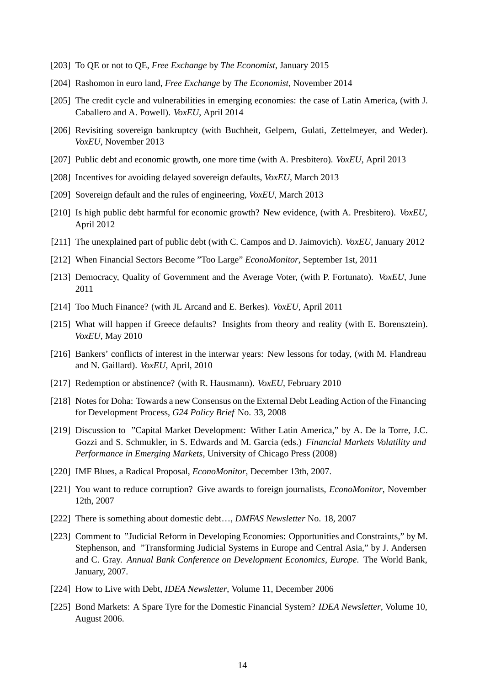- [203] To QE or not to QE, *Free Exchange* by *The Economist*, January 2015
- [204] Rashomon in euro land, *Free Exchange* by *The Economist*, November 2014
- [205] The credit cycle and vulnerabilities in emerging economies: the case of Latin America, (with J. Caballero and A. Powell). *VoxEU*, April 2014
- [206] Revisiting sovereign bankruptcy (with Buchheit, Gelpern, Gulati, Zettelmeyer, and Weder). *VoxEU*, November 2013
- [207] Public debt and economic growth, one more time (with A. Presbitero). *VoxEU*, April 2013
- [208] Incentives for avoiding delayed sovereign defaults, *VoxEU*, March 2013
- [209] Sovereign default and the rules of engineering, *VoxEU*, March 2013
- [210] Is high public debt harmful for economic growth? New evidence, (with A. Presbitero). *VoxEU*, April 2012
- [211] The unexplained part of public debt (with C. Campos and D. Jaimovich). *VoxEU*, January 2012
- [212] When Financial Sectors Become "Too Large" *EconoMonitor*, September 1st, 2011
- [213] Democracy, Quality of Government and the Average Voter, (with P. Fortunato). *VoxEU*, June 2011
- [214] Too Much Finance? (with JL Arcand and E. Berkes). *VoxEU*, April 2011
- [215] What will happen if Greece defaults? Insights from theory and reality (with E. Borensztein). *VoxEU*, May 2010
- [216] Bankers' conflicts of interest in the interwar years: New lessons for today, (with M. Flandreau and N. Gaillard). *VoxEU*, April, 2010
- [217] Redemption or abstinence? (with R. Hausmann). *VoxEU*, February 2010
- [218] Notes for Doha: Towards a new Consensus on the External Debt Leading Action of the Financing for Development Process, *G24 Policy Brief* No. 33, 2008
- [219] Discussion to "Capital Market Development: Wither Latin America," by A. De la Torre, J.C. Gozzi and S. Schmukler, in S. Edwards and M. Garcia (eds.) *Financial Markets Volatility and Performance in Emerging Markets*, University of Chicago Press (2008)
- [220] IMF Blues, a Radical Proposal, *EconoMonitor*, December 13th, 2007.
- [221] You want to reduce corruption? Give awards to foreign journalists, *EconoMonitor*, November 12th, 2007
- [222] There is something about domestic debt…, *DMFAS Newsletter* No. 18, 2007
- [223] Comment to "Judicial Reform in Developing Economies: Opportunities and Constraints," by M. Stephenson, and "Transforming Judicial Systems in Europe and Central Asia," by J. Andersen and C. Gray. *Annual Bank Conference on Development Economics, Europe*. The World Bank, January, 2007.
- [224] How to Live with Debt, *IDEA Newsletter*, Volume 11, December 2006
- [225] Bond Markets: A Spare Tyre for the Domestic Financial System? *IDEA Newsletter*, Volume 10, August 2006.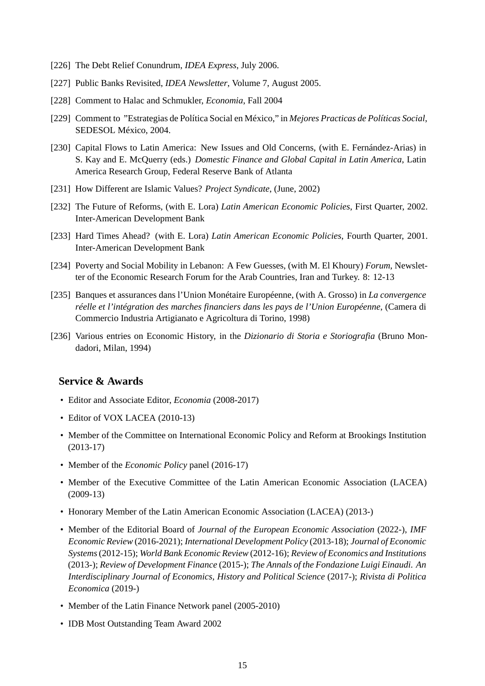- [226] The Debt Relief Conundrum, *IDEA Express*, July 2006.
- [227] Public Banks Revisited, *IDEA Newsletter*, Volume 7, August 2005.
- [228] Comment to Halac and Schmukler, *Economia*, Fall 2004
- [229] Comment to "Estrategias de Política Social en México," in *Mejores Practicas de Políticas Social*, SEDESOL México, 2004.
- [230] Capital Flows to Latin America: New Issues and Old Concerns, (with E. Fernández-Arias) in S. Kay and E. McQuerry (eds.) *Domestic Finance and Global Capital in Latin America*, Latin America Research Group, Federal Reserve Bank of Atlanta
- [231] How Different are Islamic Values? *Project Syndicate*, (June, 2002)
- [232] The Future of Reforms, (with E. Lora) *Latin American Economic Policies*, First Quarter, 2002. Inter-American Development Bank
- [233] Hard Times Ahead? (with E. Lora) *Latin American Economic Policies*, Fourth Quarter, 2001. Inter-American Development Bank
- [234] Poverty and Social Mobility in Lebanon: A Few Guesses, (with M. El Khoury) *Forum*, Newsletter of the Economic Research Forum for the Arab Countries, Iran and Turkey. 8: 12-13
- [235] Banques et assurances dans l'Union Monétaire Européenne, (with A. Grosso) in *La convergence réelle et l'intégration des marches financiers dans les pays de l'Union Européenne*, (Camera di Commercio Industria Artigianato e Agricoltura di Torino, 1998)
- [236] Various entries on Economic History, in the *Dizionario di Storia e Storiografia* (Bruno Mondadori, Milan, 1994)

### **Service & Awards**

- Editor and Associate Editor, *Economia* (2008-2017)
- Editor of VOX LACEA (2010-13)
- Member of the Committee on International Economic Policy and Reform at Brookings Institution (2013-17)
- Member of the *Economic Policy* panel (2016-17)
- Member of the Executive Committee of the Latin American Economic Association (LACEA) (2009-13)
- Honorary Member of the Latin American Economic Association (LACEA) (2013-)
- Member of the Editorial Board of *Journal of the European Economic Association* (2022-), *IMF Economic Review* (2016-2021); *International Development Policy* (2013-18); *Journal of Economic Systems*(2012-15); *World Bank Economic Review* (2012-16); *Review of Economics and Institutions* (2013-); *Review of Development Finance* (2015-); *The Annals of the Fondazione Luigi Einaudi. An Interdisciplinary Journal of Economics, History and Political Science* (2017-); *Rivista di Politica Economica* (2019-)
- Member of the Latin Finance Network panel (2005-2010)
- IDB Most Outstanding Team Award 2002